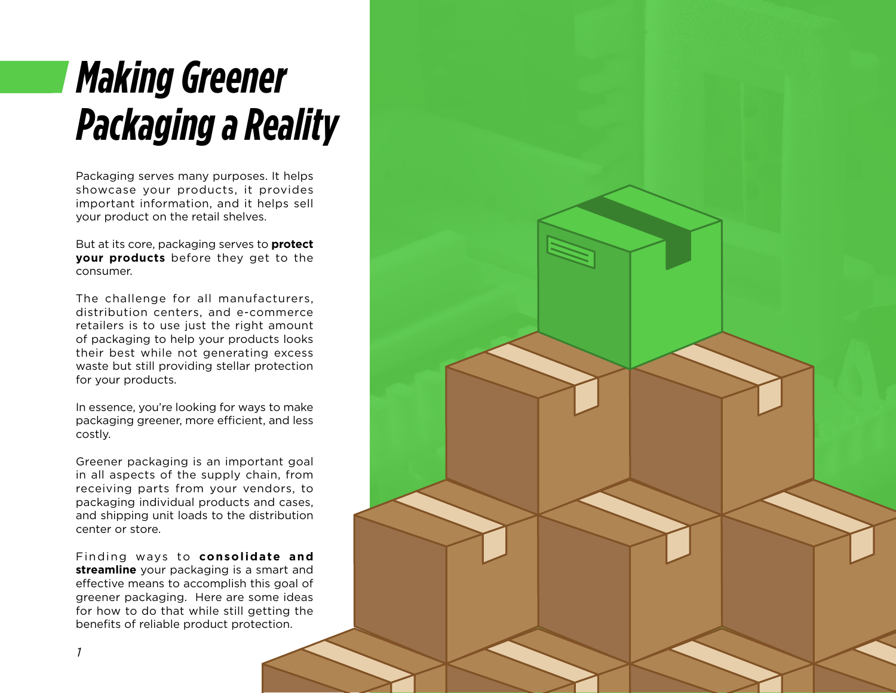# *Making Greener Packaging a Reality*

Packaging serves many purposes. It helps showcase your products, it provides important information, and it helps sell your product on the retail shelves.

But at its core, packaging serves to **protect your products** before they get to the consumer.

The challenge for all manufacturers, distribution centers, and e-commerce retailers is to use just the right amount of packaging to help your products looks their best while not generating excess waste but still providing stellar protection for your products.

In essence, you're looking for ways to make packaging greener, more efficient, and less costly.

Greener packaging is an important goal in all aspects of the supply chain, from receiving parts from your vendors, to packaging individual products and cases, and shipping unit loads to the distribution center or store.

Finding ways to **consolidate and streamline** your packaging is a smart and effective means to accomplish this goal of greener packaging. Here are some ideas for how to do that while still getting the benefits of reliable product protection.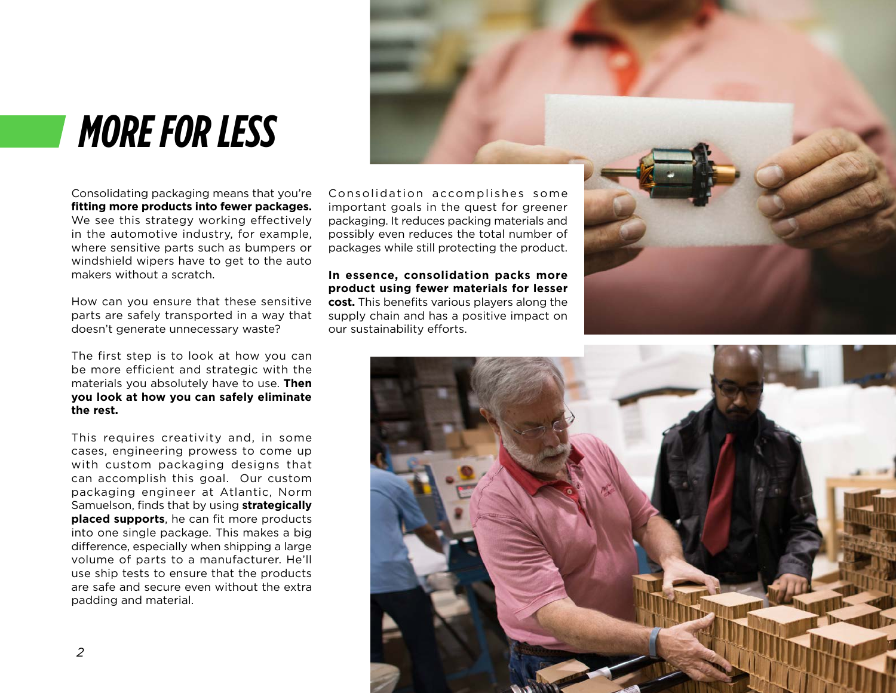## *MORE FOR LESS*

Consolidating packaging means that you're **fitting more products into fewer packages.**  We see this strategy working effectively in the automotive industry, for example, where sensitive parts such as bumpers or windshield wipers have to get to the auto makers without a scratch.

How can you ensure that these sensitive parts are safely transported in a way that doesn't generate unnecessary waste?

The first step is to look at how you can be more efficient and strategic with the materials you absolutely have to use. **Then you look at how you can safely eliminate the rest.**

This requires creativity and, in some cases, engineering prowess to come up with custom packaging designs that can accomplish this goal. Our custom packaging engineer at Atlantic, Norm Samuelson, finds that by using **strategically placed supports**, he can fit more products into one single package. This makes a big difference, especially when shipping a large volume of parts to a manufacturer. He'll use ship tests to ensure that the products are safe and secure even without the extra padding and material.

Consolidation accomplishes some important goals in the quest for greener packaging. It reduces packing materials and possibly even reduces the total number of packages while still protecting the product.

**In essence, consolidation packs more product using fewer materials for lesser cost.** This benefits various players along the supply chain and has a positive impact on our sustainability efforts.



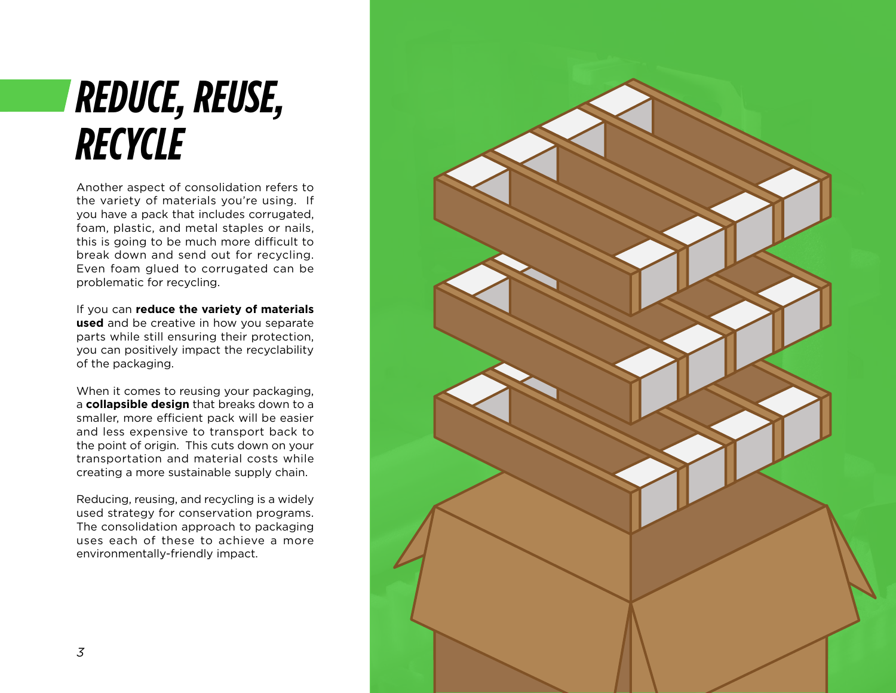# *REDUCE, REUSE, RECYCLE*

Another aspect of consolidation refers to the variety of materials you're using. If you have a pack that includes corrugated, foam, plastic, and metal staples or nails, this is going to be much more difficult to break down and send out for recycling. Even foam glued to corrugated can be problematic for recycling.

If you can **reduce the variety of materials used** and be creative in how you separate parts while still ensuring their protection, you can positively impact the recyclability of the packaging.

When it comes to reusing your packaging, a **collapsible design** that breaks down to a smaller, more efficient pack will be easier and less expensive to transport back to the point of origin. This cuts down on your transportation and material costs while creating a more sustainable supply chain.

Reducing, reusing, and recycling is a widely used strategy for conservation programs. The consolidation approach to packaging uses each of these to achieve a more environmentally-friendly impact.

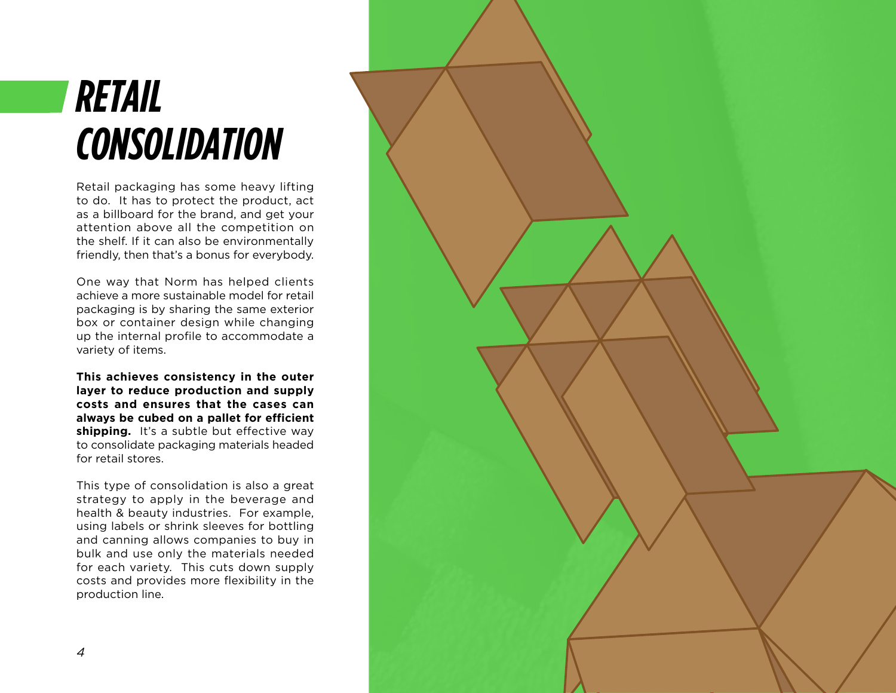# *RETAIL CONSOLIDATION*

Retail packaging has some heavy lifting to do. It has to protect the product, act as a billboard for the brand, and get your attention above all the competition on the shelf. If it can also be environmentally friendly, then that's a bonus for everybody.

One way that Norm has helped clients achieve a more sustainable model for retail packaging is by sharing the same exterior box or container design while changing up the internal profile to accommodate a variety of items.

**This achieves consistency in the outer layer to reduce production and supply costs and ensures that the cases can always be cubed on a pallet for efficient shipping.** It's a subtle but effective way to consolidate packaging materials headed for retail stores.

This type of consolidation is also a great strategy to apply in the beverage and health & beauty industries. For example, using labels or shrink sleeves for bottling and canning allows companies to buy in bulk and use only the materials needed for each variety. This cuts down supply costs and provides more flexibility in the production line.

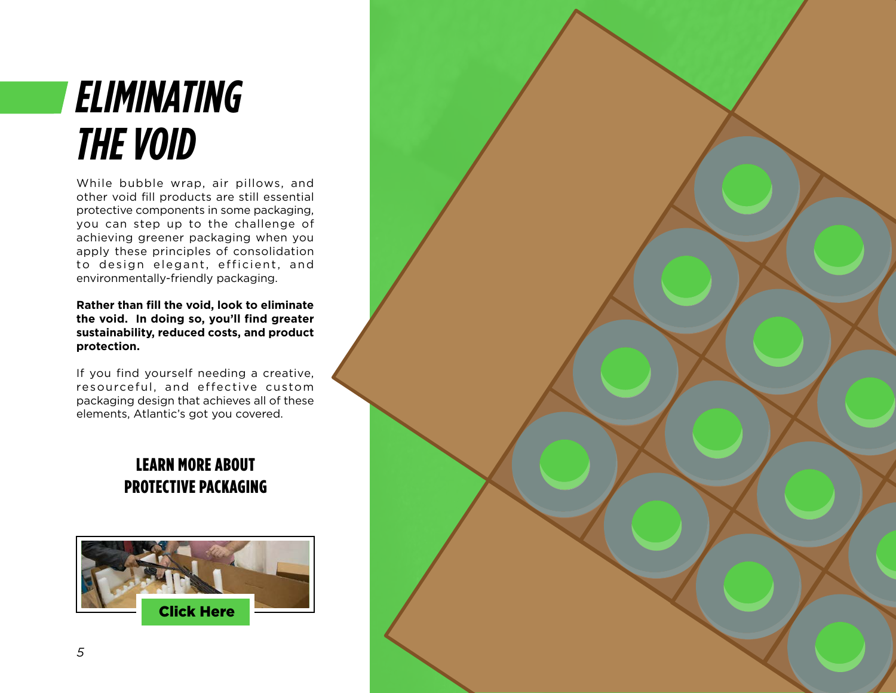#### *ELIMINATING THE VOID*

While bubble wrap, air pillows, and other void fill products are still essential protective components in some packaging, you can step up to the challenge of achieving greener packaging when you apply these principles of consolidation to design elegant, efficient, and environmentally-friendly packaging.

**Rather than fill the void, look to eliminate the void. In doing so, you'll find greater sustainability, reduced costs, and product protection.**

If you find yourself needing a creative, resourceful, and effective custom packaging design that achieves all of these elements, Atlantic's got you covered.

#### LEARN MORE ABOUT PROTECTIVE PACKAGING